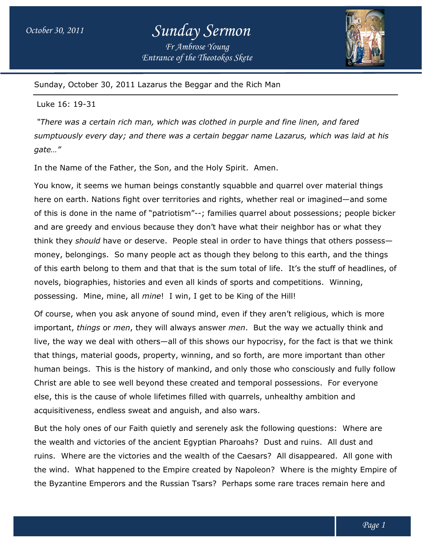# *October 30, 2011 Sunday Sermon Fr Ambrose Young*

*Entrance of the Theotokos Skete*



Sunday, October 30, 2011 Lazarus the Beggar and the Rich Man

#### Luke 16: 19-31

*"There was a certain rich man, which was clothed in purple and fine linen, and fared sumptuously every day; and there was a certain beggar name Lazarus, which was laid at his "There certain rich fine day; laid gate…"*

In the Name of the Father, the Son, and the Holy Spirit. Amen.

You know, it seems we human beings constantly squabble and quarrel over material things here on earth. Nations fight over territories and rights, whether real or imagined—and some of this is done in the name of "patriotism"--; families quarrel about possessions; people bicker and are greedy and envious because they don't have what their neighbor has or what they think they *should* have or deserve. People steal in order to have things that others possess money, belongings. So many people act as though they belong to this earth, and the things and are greedy and envious because they don't have what their neighbor has or what they<br>think they *should* have or deserve. People steal in order to have things that others possess—<br>money, belongings. So many people act a novels, biographies, histories and even all kinds of sports and competitions. Winning, possessing. Mine, mine, all *mine* ! I win, I get to be King of the Hill! ther, the Son, and the Holy Spirit. Amen.<br>e human beings constantly squabble and quarrel over material things<br>s fight over territories and rights, whether real or imagined—and some<br>name of "patriotism"--; families quarrel ; families quarrel about possessions; people bicke<br>on't have what their neighbor has or what they<br>steal in order to have things that others possess—

Of course, when you ask anyone of sound mind, even if they aren't religious, which is more important, *things* or *men*, they will always answer *men*. But the way we act live, the way we deal with others—all of this shows our hypocrisy, for the fact is that we think that things, material goods, property, winning, and so forth, are more important than other human beings. This is the history of mankind, and only those who consciously and fully follow Christ are able to see well beyond these created and temporal possessions. For everyone else, this is the cause of whole lifetimes filled with quarrels, unhealthy ambition and acquisitiveness, endless sweat and anguish, and also wars. able to see well beyond these created and temporal possessions. For everyone<br>s the cause of whole lifetimes filled with quarrels, unhealthy ambition and<br>ness, endless sweat and anguish, and also wars. itions. Winning,<br>ligious, which is more<br>we actually think and all of this shows our hypocrisy, for the fact is<br>ty, winning, and so forth, are more important<br>of mankind, and only those who consciously a<br>these created and temporal possessions. For<br>imes filled with quarrels, unhealthy a

But the holy ones of our Faith quietly and serenely ask the following questions: Where are the wealth and victories of the ancient Egyptian Pharoahs? Dust and ruins. All dust and ruins. Where are the victories and the wealth of the Caesars? All disappeared. All gone with the wind. What happened to the Empire created by Napoleon? Where is the mighty Empire of the wind. What happened to the Empire created by Napoleon? Where is the mighty Empire<br>the Byzantine Emperors and the Russian Tsars? Perhaps some rare traces remain here and y ones of our Faith quietly and serenely ask the following questions: Where are<br>and victories of the ancient Egyptian Pharoahs? Dust and ruins. All dust and<br>rre are the victories and the wealth of the Caesars? All disappea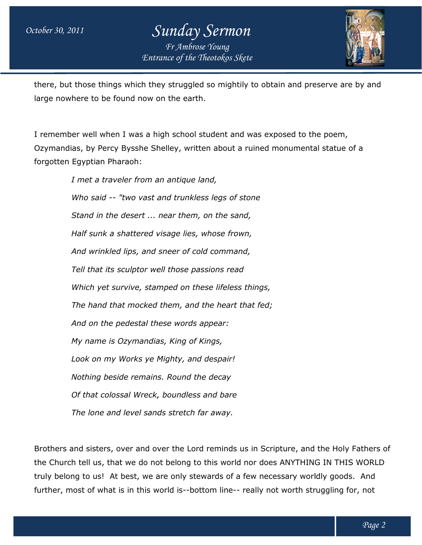### *October 30, 2011 Sunday Sermon Entrance of the Theotokos Skete Fr Ambrose Young*



there, but those things which they struggled so mightily to obtain and preserve are by and large nowhere to be found now on the earth.

I remember well when I was a high school student and was exposed to the poem, Ozymandias, by Percy Bysshe Shelley, written about a ruined monumental monumental statue of a forgotten Egyptian Pharaoh: nowhere to be found now on the earth.<br>ember well when I was a high school student and was ex<br>andias, by Percy Bysshe Shelley, written about a ruined

 *I met a traveler from an antique land, Who said -- "two vast and trunkless legs of stone Stand in the desert ... near them, on the sand, Half sunk a shattered visage lies, whose frown, And wrinkled lips, and sneer of cold command, Tell that its sculptor well those passions read Which yet survive, stamped on these lifeless things, The hand that mocked them, and the heart that fed; And on the pedestal these words appear: My name is Ozymandias, King of Kings, Look on my Works ye Mighty, and despair! Nothing beside remains. Round the d Of that colossal Wreck, boundless and bare The lone and level sands stretch far away. ler from an antique land,<br>'two vast and trunkless legs of sto<br>desert ... near them, on the sand, Half sunk a shattered visage lies, whose fro*<br>*And wrinkled lips, and sneer of cold comma<br>Tell that its sculptor well those passions reowhich yet survive, stamped on these lifeles<br><i>The hand that mocked them, and the heari* 

Brothers and sisters, over and over the Lord reminds us in Scripture, and the Holy Fathers of the Church tell us, that we do not belong to this world nor does ANYTHING IN THIS WORLD truly belong to us! At best, we are only stewards of a few necessary worldly goods. And further, most of what is in this world is--bottom line-- really not worth struggling for, not Brothers and sisters, over and over the Lord reminds us in Scripture, and the Holy Father:<br>the Church tell us, that we do not belong to this world nor does ANYTHING IN THIS WORL<br>truly belong to us! At best, we are only ste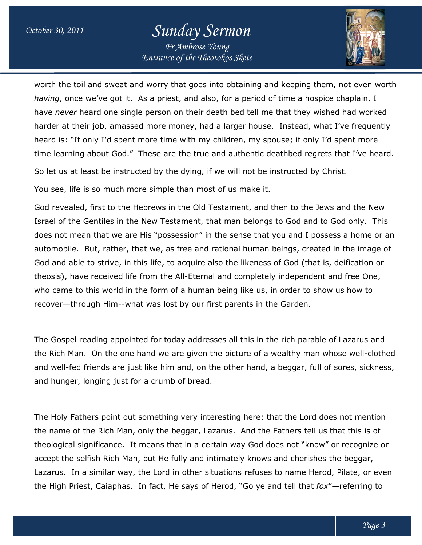# *October 30, 2011 Sunday Sermon*

*Entrance of the Theotokos Skete Fr Ambrose Young*



worth the toil and sweat and worry that goes into obtaining and keeping them, not even worth *having*, once we've got it. As a priest, and also, for a period of time a hospice chaplain, I *having*, once we've got it. As a priest, and also, for a period of time a hospice chaplain, I<br>have *never* heard one single person on their death bed tell me that they wished had worked harder at their job, amassed more money, had a larger house. Instead, what I've frequently heard is: "If only I'd spent more time with my children, my spouse; if only I'd spent more time learning about God." These are the true and authentic deathbed regrets that I've heard.

So let us at least be instructed by the dying, if we will not be instructed by Christ.

You see, life is so much more simple than most of us make it.

God revealed, first to the Hebrews in the Old Testament, and then to the Jews and the New Israel of the Gentiles in the New Testament, that man belongs to God and to God only. This does not mean that we are His "possession" in the sense that you and I possess a home or an automobile. But, rather, that we, as free and rational human beings, created in the image of God and able to strive, in this life, to acquire also the likeness of God (that is, deification or theosis), have received life from the All-Eternal and completely independent and free One, who came to this world in the form of a human being like us, in order to show us how to recover—through Him--what was lost by our first parents in the Garden. heard is: "If only I'd spent more time with my children, my spouse; if only I'd spent more<br>time learning about God." These are the true and authentic deathbed regrets that I've hear<br>So let us at least be instructed by the berson on their death bed tell me that they wished had worken<br>more money, had a larger house. Instead, what I've frequent<br>pre time with my children, my spouse; if only I'd spent more<br>ese are the true and authentic deathbed

The Gospel reading appointed for today addresses all this in the rich parable of Lazarus and the Rich Man. On the one hand we are given the picture of a wealthy man whose well-clothed and well-fed friends are just like him and, on the other hand, a beggar, full of sores, sickness, and hunger, longing just for a crumb of bread.

The Holy Fathers point out something very interesting here: that the Lord does not mention the name of the Rich Man, only the beggar, Lazarus. And the Fathers tell us that this is of theological significance. It means that in a certain way God does not "kno accept the selfish Rich Man, but He fully and intimately knows and cherishes the beggar, Lazarus. In a similar way, the Lord in other situations refuses to name Herod, Pilate, or even the High Priest, Caiaphas. In fact, He says of Herod, "Go ye and tell that *fox"*—referring to came to this world in the form of a human being like us, in order to show us how to<br>ver—through Him--what was lost by our first parents in the Garden.<br>
Gospel reading appointed for today addresses all this in the rich par fed friends are just like him and, on the other hand, a beggar, full of sores, sickness<br>er, longing just for a crumb of bread.<br>Fathers point out something very interesting here: that the Lord does not mention<br>of the Rich M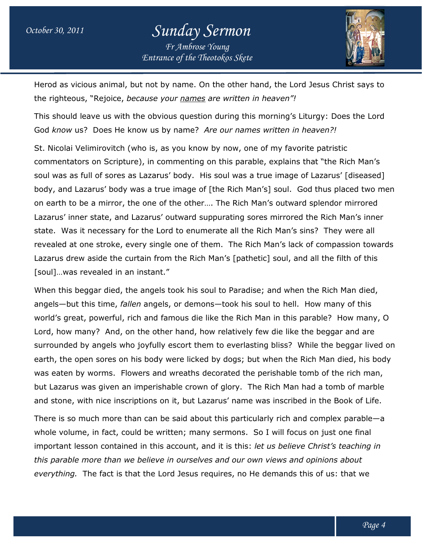

Herod as vicious animal, but not by name. On the other hand, the Lord Jesus Christ says to the righteous, "Rejoice, *because your names are written in heaven"!*

This should leave us with the obvious question during this morning's Liturgy: Does the Lord God know us? Does He know us by name? Are our names written in heaven?!

St. Nicolai Velimirovitch (who is, as you know by now, one of my favorite patristic commentators on Scripture), in commenting on this parable, explains that "the Rich Man's soul was as full of sores as Lazarus' body. His soul was a true image of Lazarus' [diseased] body, and Lazarus' body was a true image of [the Rich Man's] soul. God thus placed two men on earth to be a mirror, the one of the other…. The Rich Man's outward splendor mirrored Lazarus' inner state, and Lazarus' outward suppurating sores mirrored the Rich Man's inner state. Was it necessary for the Lord to enumerate all the Rich Man's sins? They were all revealed at one stroke, every single one of them. The Rich Man's lack of compassion towards Lazarus drew aside the curtain from the Rich Man's [pathetic] soul, and all the filth of this [soul]…was revealed in an instant." revealed at one stroke, every single one of them. The Rich Man's lack of compassion tov<br>Lazarus drew aside the curtain from the Rich Man's [pathetic] soul, and all the filth of thi<br>[soul]...was revealed in an instant."<br>Whe you know by now, one of my favorite patristic<br>menting on this parable, explains that "the Rich<br>body. His soul was a true image of Lazarus' [dis<br>image of [the Rich Man's] soul. God thus placed of the other.... The Rich Man's outward splendor mirrored<br>:' outward suppurating sores mirrored the Rich Man's inne<br>.ord to enumerate all the Rich Man's sins? They were all e all the Rich Man's sins? They were all<br>The Rich Man's lack of compassion towards<br>i's [pathetic] soul, and all the filth of this<br>o Paradise; and when the Rich Man died,<br>took his soul to hell. How many of this<br>the Rich Man

When this beggar died, the angels took his soul to Paradise; and when the Rich Man died, world's great, powerful, rich and famous die like the Rich Man in this parable? How many, O world's great, powerful, rich and famous die like the Rich Man in this parable? How many<br>Lord, how many? And, on the other hand, how relatively few die like the beggar and are surrounded by angels who joyfully escort them to everlasting bliss? While the beggar lived on surrounded by angels who joyfully escort them to everlasting bliss? While the beggar lived or<br>earth, the open sores on his body were licked by dogs; but when the Rich Man died, his body was eaten by worms. Flowers and wreaths decorated the perishable tomb of the rich man, but Lazarus was given an imperishable crown of glory. The Rich Man had a tomb of marble was eaten by worms. Flowers and wreaths decorated the perishable tomb of the rich man,<br>but Lazarus was given an imperishable crown of glory. The Rich Man had a tomb of marble<br>and stone, with nice inscriptions on it, but La earth, the open sores on his body were licked by dogs; but when the Rich Man died, his bod<br>was eaten by worms. Flowers and wreaths decorated the perishable tomb of the rich man,<br>but Lazarus was given an imperishable crown

whole volume, in fact, could be written; many sermons. So I will focus on just one final There is so much more than can be said about this particularly rich and complex parable—a<br>whole volume, in fact, could be written; many sermons. So I will focus on just one final<br>important lesson contained in this account, this parable more than we believe in ourselves and our own views and opinions about everything. The fact is that the Lord Jesus requires, no He demands this of us: that we